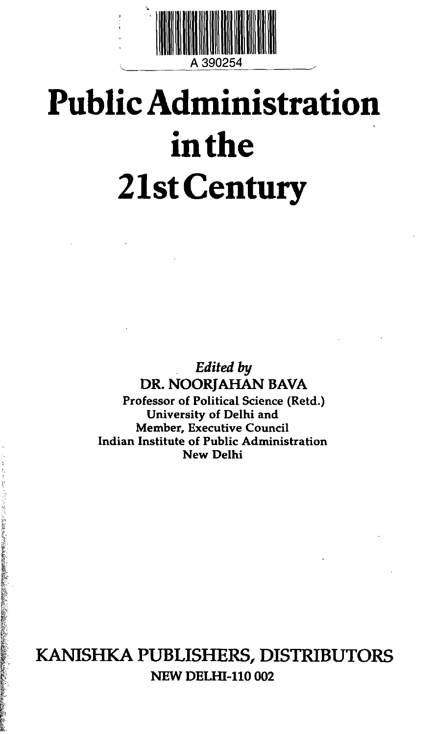

## **Public Administration in the 21st Century**

*Edited by* **DR. NOORJAHAN BAVA Professor of Political Science (Retd.) University of Delhi and Member, Executive Council Indian Institute of Public Administration New Delhi**

KANISHKA PUBLISHERS, DISTRIBUTORS **NEW DELHI-110 002**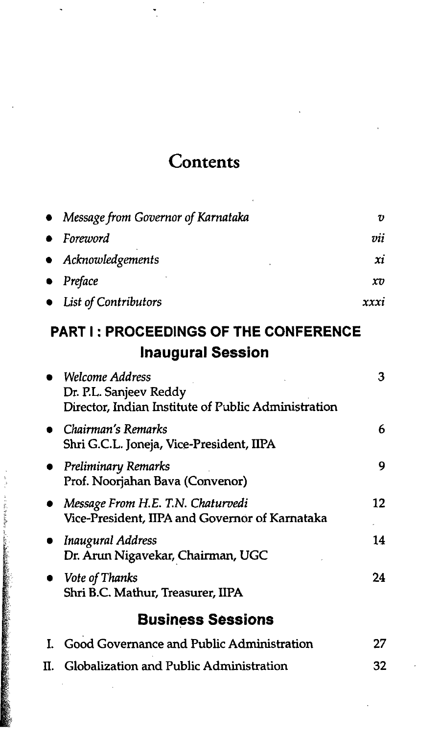## **Contents**

| • Message from Governor of Karnataka | υ    |
|--------------------------------------|------|
| $\bullet$ Foreword                   | vii  |
| • Acknowledgements                   | xi   |
| $\bullet$ Preface                    | xv   |
| • List of Contributors               | xxxi |

## **PART I: PROCEEDINGS OF THE CONFERENCE Inaugural Session**

|    | Welcome Address<br>Dr. P.L. Sanjeev Reddy<br>Director, Indian Institute of Public Administration | з   |
|----|--------------------------------------------------------------------------------------------------|-----|
|    | Chairman's Remarks<br>Shri G.C.L. Joneja, Vice-President, IIPA                                   | 6   |
|    | $\bullet$ Preliminary Remarks<br>Prof. Noorjahan Bava (Convenor)                                 | 9   |
|    | Message From H.E. T.N. Chaturvedi<br>Vice-President, IIPA and Governor of Karnataka              | 12  |
|    | Inaugural Address<br>Dr. Arun Nigavekar, Chairman, UGC                                           | 14  |
|    | Vote of Thanks<br>Shri B.C. Mathur, Treasurer, IIPA                                              | 24  |
|    | <b>Business Sessions</b>                                                                         |     |
|    | I. Good Governance and Public Administration                                                     | 27  |
| П. | Globalization and Public Administration                                                          | 32. |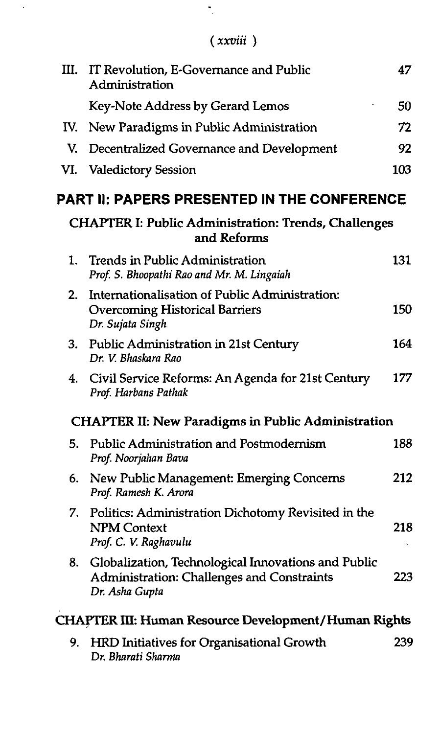| <b>XXVIII</b> |  |
|---------------|--|

 $\bar{\bar{z}}$ 

| Ш.  | IT Revolution, E-Governance and Public<br>Administration                                                            | 47  |
|-----|---------------------------------------------------------------------------------------------------------------------|-----|
|     | Key-Note Address by Gerard Lemos                                                                                    | 50  |
| IV. | New Paradigms in Public Administration                                                                              | 72  |
| V.  | Decentralized Governance and Development                                                                            | 92  |
| VI. | <b>Valedictory Session</b>                                                                                          | 103 |
|     | <b>PART II: PAPERS PRESENTED IN THE CONFERENCE</b>                                                                  |     |
|     | <b>CHAPTER I: Public Administration: Trends, Challenges</b><br>and Reforms                                          |     |
| 1.  | Trends in Public Administration<br>Prof. S. Bhoopathi Rao and Mr. M. Lingaiah                                       | 131 |
| 2.  | Internationalisation of Public Administration:<br><b>Overcoming Historical Barriers</b><br>Dr. Sujata Singh         | 150 |
| 3.  | Public Administration in 21st Century<br>Dr. V. Bhaskara Rao                                                        | 164 |
| 4.  | Civil Service Reforms: An Agenda for 21st Century<br>Prof. Harbans Pathak                                           | 177 |
|     | <b>CHAPTER II: New Paradigms in Public Administration</b>                                                           |     |
| 5.  | <b>Public Administration and Postmodernism</b><br>Prof. Noorjahan Bava                                              | 188 |
| 6.  | New Public Management: Emerging Concerns<br>Prof. Ramesh K. Arora                                                   | 212 |
| 7.  | Politics: Administration Dichotomy Revisited in the<br><b>NPM Context</b><br>Prof. C. V. Raghavulu                  | 218 |
| 8.  | Globalization, Technological Innovations and Public<br>Administration: Challenges and Constraints<br>Dr. Asha Gupta | 223 |
|     | CHAPTER III: Human Resource Development/Human Rights                                                                |     |
| 9.  | HRD Initiatives for Organisational Growth<br>Dr. Bharati Sharma                                                     | 239 |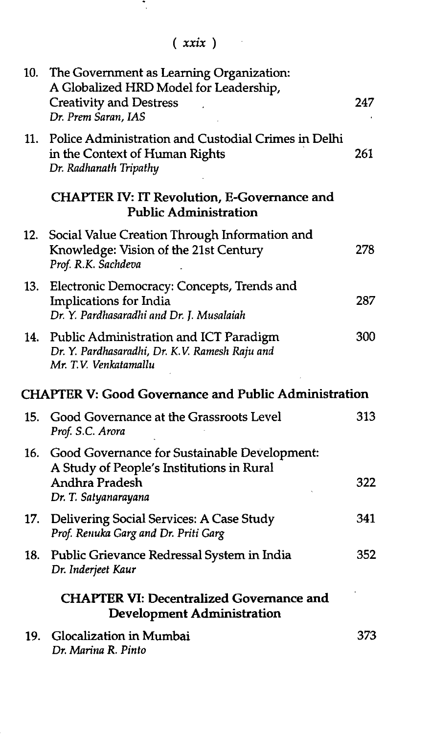in A

| 10. | The Government as Learning Organization:<br>A Globalized HRD Model for Leadership,<br><b>Creativity and Destress</b><br>Dr. Prem Saran, IAS | 247 |
|-----|---------------------------------------------------------------------------------------------------------------------------------------------|-----|
| 11. | Police Administration and Custodial Crimes in Delhi<br>in the Context of Human Rights<br>Dr. Radhanath Tripathy                             | 261 |
|     | <b>CHAPTER IV: IT Revolution, E-Governance and</b><br><b>Public Administration</b>                                                          |     |
| 12. | Social Value Creation Through Information and<br>Knowledge: Vision of the 21st Century<br>Prof. R.K. Sachdeva                               | 278 |
| 13. | Electronic Democracy: Concepts, Trends and<br>Implications for India<br>Dr. Y. Pardhasaradhi and Dr. J. Musalaiah                           | 287 |
| 14. | Public Administration and ICT Paradigm<br>Dr. Y. Pardhasaradhi, Dr. K.V. Ramesh Raju and<br>Mr. T.V. Venkatamallu                           | 300 |
|     | <b>CHAPTER V: Good Governance and Public Administration</b>                                                                                 |     |
|     | 15. Good Governance at the Grassroots Level<br>Prof. S.C. Arora                                                                             | 313 |
| 16. | Good Governance for Sustainable Development:<br>A Study of People's Institutions in Rural<br><b>Andhra Pradesh</b><br>Dr. T. Satyanarayana  | 322 |
| 17. | Delivering Social Services: A Case Study<br>Prof. Renuka Garg and Dr. Priti Garg                                                            | 341 |
| 18. | Public Grievance Redressal System in India<br>Dr. Inderjeet Kaur                                                                            | 352 |
|     | <b>CHAPTER VI: Decentralized Governance and</b><br><b>Development Administration</b>                                                        |     |
|     | 19. Glocalization in Mumbai<br>Dr. Marina R. Pinto                                                                                          | 373 |